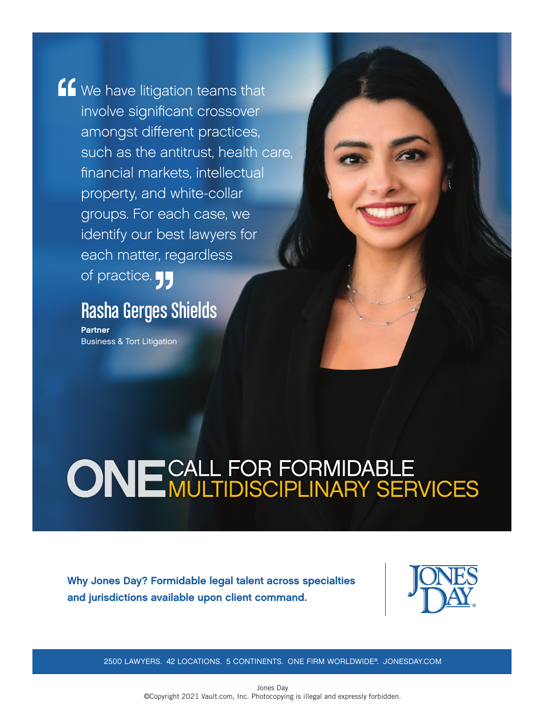K We have litigation teams that involve significant crossover amongst different practices, such as the antitrust, health care, financial markets, intellectual property, and white-collar groups. For each case, we identify our best lawyers for each matter, regardless of practice.

## Rasha Gerges Shields

Partner Business & Tort Litigation

# **ONE CALL FOR FORMIDABLE<br>ONE MULTIDISCIPLINARY SERVICES**

Why Jones Day? Formidable legal talent across specialties and jurisdictions available upon client command.



2500 LAWYERS. 42 LOCATIONS. 5 CONTINENTS. ONE FIRM WORLDWIDE®. JONESDAY.COM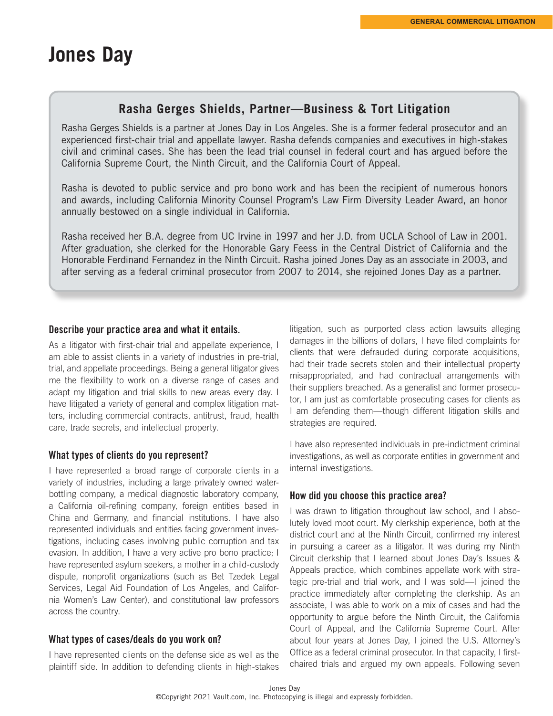## **Jones Day**

#### **Rasha Gerges Shields, Partner—Business & Tort Litigation**

Rasha Gerges Shields is a partner at Jones Day in Los Angeles. She is a former federal prosecutor and an experienced first-chair trial and appellate lawyer. Rasha defends companies and executives in high-stakes civil and criminal cases. She has been the lead trial counsel in federal court and has argued before the California Supreme Court, the Ninth Circuit, and the California Court of Appeal.

Rasha is devoted to public service and pro bono work and has been the recipient of numerous honors and awards, including California Minority Counsel Program's Law Firm Diversity Leader Award, an honor annually bestowed on a single individual in California.

Rasha received her B.A. degree from UC Irvine in 1997 and her J.D. from UCLA School of Law in 2001. After graduation, she clerked for the Honorable Gary Feess in the Central District of California and the Honorable Ferdinand Fernandez in the Ninth Circuit. Rasha joined Jones Day as an associate in 2003, and after serving as a federal criminal prosecutor from 2007 to 2014, she rejoined Jones Day as a partner.

#### Describe your practice area and what it entails.

As a litigator with first-chair trial and appellate experience, I am able to assist clients in a variety of industries in pre-trial, trial, and appellate proceedings. Being a general litigator gives me the flexibility to work on a diverse range of cases and adapt my litigation and trial skills to new areas every day. I have litigated a variety of general and complex litigation matters, including commercial contracts, antitrust, fraud, health care, trade secrets, and intellectual property.

#### What types of clients do you represent?

I have represented a broad range of corporate clients in a variety of industries, including a large privately owned waterbottling company, a medical diagnostic laboratory company, a California oil-refining company, foreign entities based in China and Germany, and financial institutions. I have also represented individuals and entities facing government investigations, including cases involving public corruption and tax evasion. In addition, I have a very active pro bono practice; I have represented asylum seekers, a mother in a child-custody dispute, nonprofit organizations (such as Bet Tzedek Legal Services, Legal Aid Foundation of Los Angeles, and California Women's Law Center), and constitutional law professors across the country.

#### What types of cases/deals do you work on?

I have represented clients on the defense side as well as the plaintiff side. In addition to defending clients in high-stakes

litigation, such as purported class action lawsuits alleging damages in the billions of dollars, I have filed complaints for clients that were defrauded during corporate acquisitions, had their trade secrets stolen and their intellectual property misappropriated, and had contractual arrangements with their suppliers breached. As a generalist and former prosecutor, I am just as comfortable prosecuting cases for clients as I am defending them—though different litigation skills and strategies are required.

I have also represented individuals in pre-indictment criminal investigations, as well as corporate entities in government and internal investigations.

#### How did you choose this practice area?

I was drawn to litigation throughout law school, and I absolutely loved moot court. My clerkship experience, both at the district court and at the Ninth Circuit, confirmed my interest in pursuing a career as a litigator. It was during my Ninth Circuit clerkship that I learned about Jones Day's Issues & Appeals practice, which combines appellate work with strategic pre-trial and trial work, and I was sold—I joined the practice immediately after completing the clerkship. As an associate, I was able to work on a mix of cases and had the opportunity to argue before the Ninth Circuit, the California Court of Appeal, and the California Supreme Court. After about four years at Jones Day, I joined the U.S. Attorney's Office as a federal criminal prosecutor. In that capacity, I firstchaired trials and argued my own appeals. Following seven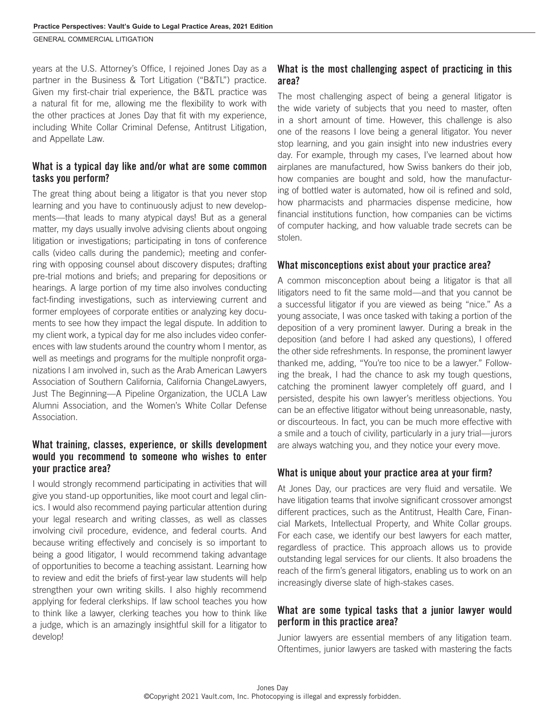GENERAL COMMERCIAL Litigation

years at the U.S. Attorney's Office, I rejoined Jones Day as a partner in the Business & Tort Litigation ("B&TL") practice. Given my first-chair trial experience, the B&TL practice was a natural fit for me, allowing me the flexibility to work with the other practices at Jones Day that fit with my experience, including White Collar Criminal Defense, Antitrust Litigation, and Appellate Law.

#### What is a typical day like and/or what are some common tasks you perform?

The great thing about being a litigator is that you never stop learning and you have to continuously adjust to new developments—that leads to many atypical days! But as a general matter, my days usually involve advising clients about ongoing litigation or investigations; participating in tons of conference calls (video calls during the pandemic); meeting and conferring with opposing counsel about discovery disputes; drafting pre-trial motions and briefs; and preparing for depositions or hearings. A large portion of my time also involves conducting fact-finding investigations, such as interviewing current and former employees of corporate entities or analyzing key documents to see how they impact the legal dispute. In addition to my client work, a typical day for me also includes video conferences with law students around the country whom I mentor, as well as meetings and programs for the multiple nonprofit organizations I am involved in, such as the Arab American Lawyers Association of Southern California, California ChangeLawyers, Just The Beginning—A Pipeline Organization, the UCLA Law Alumni Association, and the Women's White Collar Defense Association.

#### What training, classes, experience, or skills development would you recommend to someone who wishes to enter your practice area?

I would strongly recommend participating in activities that will give you stand-up opportunities, like moot court and legal clinics. I would also recommend paying particular attention during your legal research and writing classes, as well as classes involving civil procedure, evidence, and federal courts. And because writing effectively and concisely is so important to being a good litigator, I would recommend taking advantage of opportunities to become a teaching assistant. Learning how to review and edit the briefs of first-year law students will help strengthen your own writing skills. I also highly recommend applying for federal clerkships. If law school teaches you how to think like a lawyer, clerking teaches you how to think like a judge, which is an amazingly insightful skill for a litigator to develop!

#### What is the most challenging aspect of practicing in this area?

The most challenging aspect of being a general litigator is the wide variety of subjects that you need to master, often in a short amount of time. However, this challenge is also one of the reasons I love being a general litigator. You never stop learning, and you gain insight into new industries every day. For example, through my cases, I've learned about how airplanes are manufactured, how Swiss bankers do their job, how companies are bought and sold, how the manufacturing of bottled water is automated, how oil is refined and sold, how pharmacists and pharmacies dispense medicine, how financial institutions function, how companies can be victims of computer hacking, and how valuable trade secrets can be stolen.

#### What misconceptions exist about your practice area?

A common misconception about being a litigator is that all litigators need to fit the same mold—and that you cannot be a successful litigator if you are viewed as being "nice." As a young associate, I was once tasked with taking a portion of the deposition of a very prominent lawyer. During a break in the deposition (and before I had asked any questions), I offered the other side refreshments. In response, the prominent lawyer thanked me, adding, "You're too nice to be a lawyer." Following the break, I had the chance to ask my tough questions, catching the prominent lawyer completely off guard, and I persisted, despite his own lawyer's meritless objections. You can be an effective litigator without being unreasonable, nasty, or discourteous. In fact, you can be much more effective with a smile and a touch of civility, particularly in a jury trial—jurors are always watching you, and they notice your every move.

#### What is unique about your practice area at your firm?

At Jones Day, our practices are very fluid and versatile. We have litigation teams that involve significant crossover amongst different practices, such as the Antitrust, Health Care, Financial Markets, Intellectual Property, and White Collar groups. For each case, we identify our best lawyers for each matter, regardless of practice. This approach allows us to provide outstanding legal services for our clients. It also broadens the reach of the firm's general litigators, enabling us to work on an increasingly diverse slate of high-stakes cases.

#### What are some typical tasks that a junior lawyer would perform in this practice area?

Junior lawyers are essential members of any litigation team. Oftentimes, junior lawyers are tasked with mastering the facts